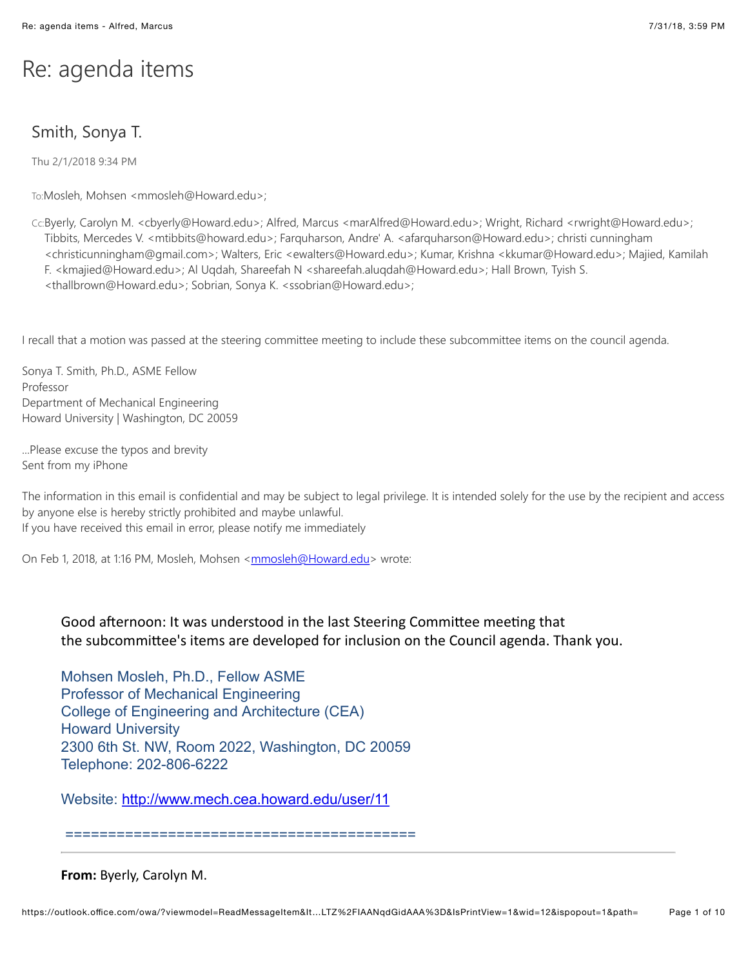## Re: agenda items

## Smith, Sonya T.

Thu 2/1/2018 9:34 PM

To:Mosleh, Mohsen <mmosleh@Howard.edu>;

Cc:Byerly, Carolyn M. <cbyerly@Howard.edu>; Alfred, Marcus <marAlfred@Howard.edu>; Wright, Richard <rwright@Howard.edu>; Tibbits, Mercedes V. <mtibbits@howard.edu>; Farquharson, Andre' A. <afarquharson@Howard.edu>; christi cunningham <christicunningham@gmail.com>; Walters, Eric <ewalters@Howard.edu>; Kumar, Krishna <kkumar@Howard.edu>; Majied, Kamilah F. <kmajied@Howard.edu>; Al Uqdah, Shareefah N <shareefah.aluqdah@Howard.edu>; Hall Brown, Tyish S. <thallbrown@Howard.edu>; Sobrian, Sonya K. <ssobrian@Howard.edu>;

I recall that a motion was passed at the steering committee meeting to include these subcommittee items on the council agenda.

Sonya T. Smith, Ph.D., ASME Fellow Professor Department of Mechanical Engineering Howard University | Washington, DC 20059

...Please excuse the typos and brevity Sent from my iPhone

The information in this email is confidential and may be subject to legal privilege. It is intended solely for the use by the recipient and access by anyone else is hereby strictly prohibited and maybe unlawful. If you have received this email in error, please notify me immediately

On Feb 1, 2018, at 1:16 PM, Mosleh, Mohsen <[mmosleh@Howard.edu>](mailto:mmosleh@Howard.edu) wrote:

## Good afternoon: It was understood in the last Steering Committee meeting that the subcommittee's items are developed for inclusion on the Council agenda. Thank you.

Mohsen Mosleh, Ph.D., Fellow ASME Professor of Mechanical Engineering College of Engineering and Architecture (CEA) Howard University 2300 6th St. NW, Room 2022, Washington, DC 20059 Telephone: 202-806-6222

Website: <http://www.mech.cea.howard.edu/user/11>

=========================================

**From:** Byerly, Carolyn M.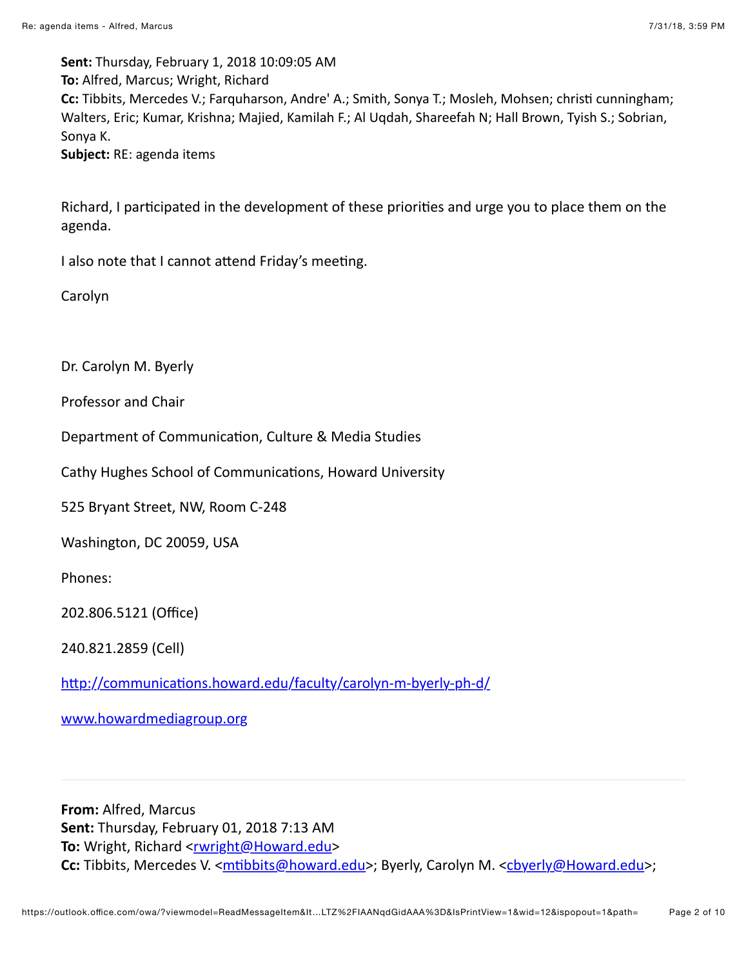Sent: Thursday, February 1, 2018 10:09:05 AM To: Alfred, Marcus; Wright, Richard Cc: Tibbits, Mercedes V.; Farquharson, Andre' A.; Smith, Sonya T.; Mosleh, Mohsen; christi cunningham; Walters, Eric; Kumar, Krishna; Majied, Kamilah F.; Al Uqdah, Shareefah N; Hall Brown, Tyish S.; Sobrian, Sonya K. Subject: RE: agenda items

Richard, I participated in the development of these priorities and urge you to place them on the agenda.

I also note that I cannot attend Friday's meeting.

Carolyn

Dr. Carolyn M. Byerly

Professor and Chair

Department of Communication, Culture & Media Studies

Cathy Hughes School of Communications, Howard University

525 Bryant Street, NW, Room C-248

Washington, DC 20059, USA

Phones:

202.806.5121 (Office)

240.821.2859 (Cell)

http://communications.howard.edu/faculty/carolyn-m-byerly-ph-d/

www.howardmediagroup.org

From: Alfred, Marcus Sent: Thursday, February 01, 2018 7:13 AM To: Wright, Richard <rwright@Howard.edu> Cc: Tibbits, Mercedes V. <mtibbits@howard.edu>; Byerly, Carolyn M. <cbyerly@Howard.edu>;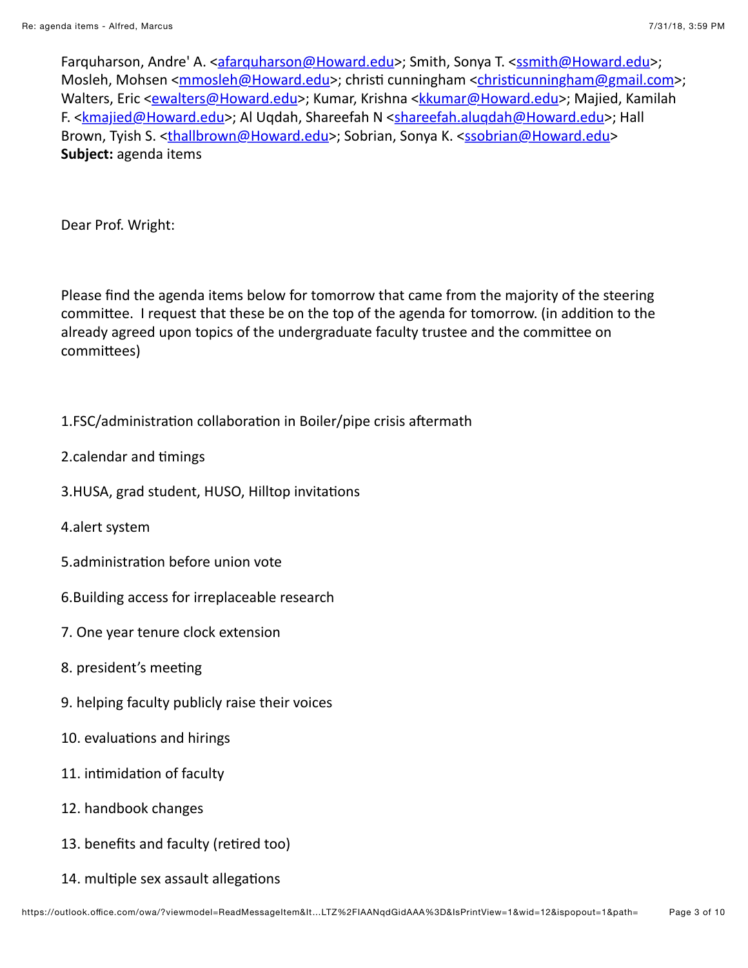Farquharson, Andre' A. <afarquharson@Howard.edu>; Smith, Sonya T. <ssmith@Howard.edu>; Mosleh, Mohsen <mmosleh@Howard.edu>; christi cunningham <christicunningham@gmail.com>; Walters, Eric <ewalters@Howard.edu>; Kumar, Krishna <kkumar@Howard.edu>; Majied, Kamilah F. < kmajied@Howard.edu>; Al Ugdah, Shareefah N < shareefah.alugdah@Howard.edu>; Hall Brown, Tyish S. <thallbrown@Howard.edu>; Sobrian, Sonya K. <ssobrian@Howard.edu> Subject: agenda items

Dear Prof. Wright:

Please find the agenda items below for tomorrow that came from the majority of the steering committee. I request that these be on the top of the agenda for tomorrow. (in addition to the already agreed upon topics of the undergraduate faculty trustee and the committee on committees)

- 1.FSC/administration collaboration in Boiler/pipe crisis aftermath
- 2.calendar and timings
- 3.HUSA, grad student, HUSO, Hilltop invitations
- 4.alert system
- 5.administration before union vote
- 6. Building access for irreplaceable research
- 7. One year tenure clock extension
- 8. president's meeting
- 9. helping faculty publicly raise their voices
- 10. evaluations and hirings
- 11. intimidation of faculty
- 12. handbook changes
- 13. benefits and faculty (retired too)
- 14. multiple sex assault allegations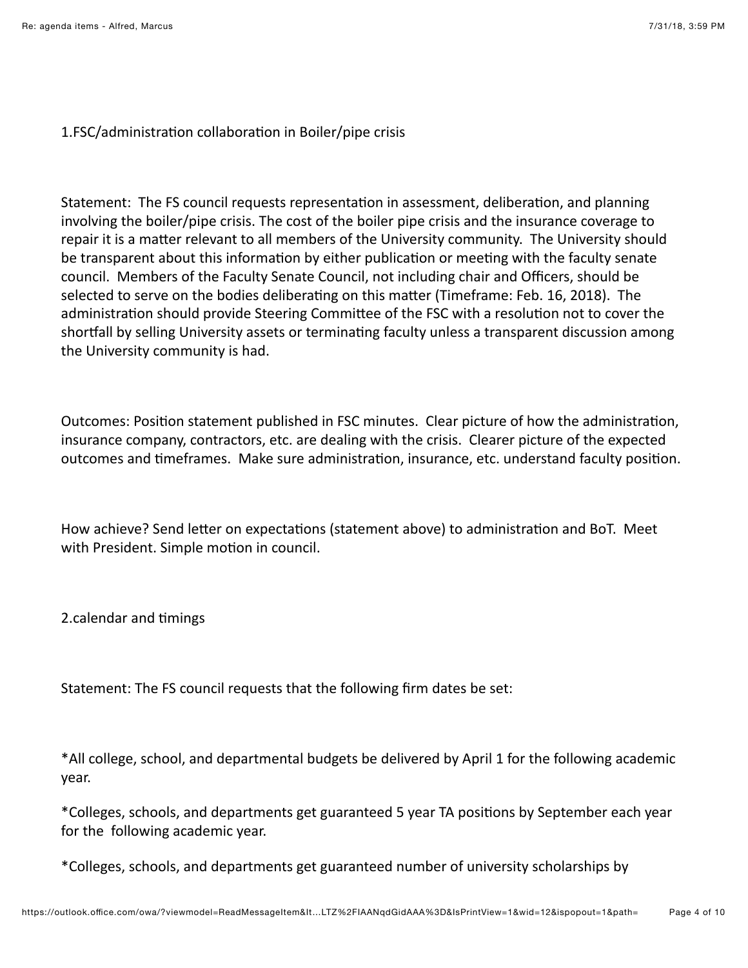1.FSC/administration collaboration in Boiler/pipe crisis

Statement: The FS council requests representation in assessment, deliberation, and planning involving the boiler/pipe crisis. The cost of the boiler pipe crisis and the insurance coverage to repair it is a matter relevant to all members of the University community. The University should be transparent about this information by either publication or meeting with the faculty senate council. Members of the Faculty Senate Council, not including chair and Officers, should be selected to serve on the bodies deliberating on this matter (Timeframe: Feb. 16, 2018). The administration should provide Steering Committee of the FSC with a resolution not to cover the shortfall by selling University assets or terminating faculty unless a transparent discussion among the University community is had.

Outcomes: Position statement published in FSC minutes. Clear picture of how the administration, insurance company, contractors, etc. are dealing with the crisis. Clearer picture of the expected outcomes and timeframes. Make sure administration, insurance, etc. understand faculty position.

How achieve? Send letter on expectations (statement above) to administration and BoT. Meet with President. Simple motion in council.

2.calendar and timings

Statement: The FS council requests that the following firm dates be set:

\*All college, school, and departmental budgets be delivered by April 1 for the following academic vear.

\*Colleges, schools, and departments get guaranteed 5 year TA positions by September each year for the following academic year.

\*Colleges, schools, and departments get guaranteed number of university scholarships by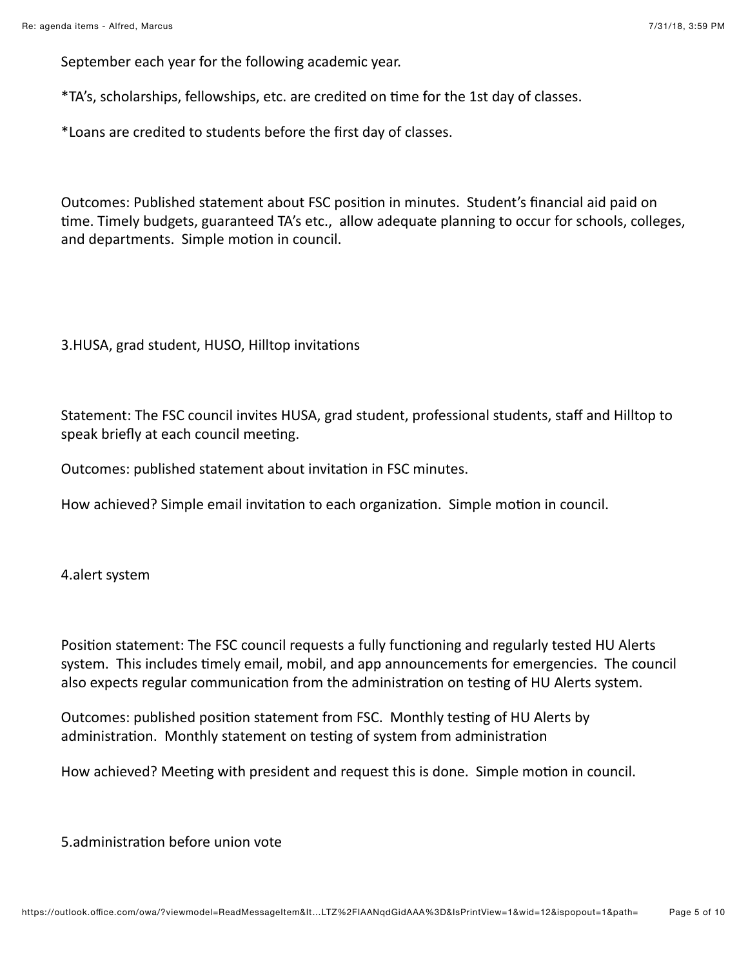September each year for the following academic year.

\*TA's, scholarships, fellowships, etc. are credited on time for the 1st day of classes.

\*Loans are credited to students before the first day of classes.

Outcomes: Published statement about FSC position in minutes. Student's financial aid paid on time. Timely budgets, guaranteed TA's etc., allow adequate planning to occur for schools, colleges, and departments. Simple motion in council.

3.HUSA, grad student, HUSO, Hilltop invitations

Statement: The FSC council invites HUSA, grad student, professional students, staff and Hilltop to speak briefly at each council meeting.

Outcomes: published statement about invitation in FSC minutes.

How achieved? Simple email invitation to each organization. Simple motion in council.

4.alert system

Position statement: The FSC council requests a fully functioning and regularly tested HU Alerts system. This includes timely email, mobil, and app announcements for emergencies. The council also expects regular communication from the administration on testing of HU Alerts system.

Outcomes: published position statement from FSC. Monthly testing of HU Alerts by administration. Monthly statement on testing of system from administration

How achieved? Meeting with president and request this is done. Simple motion in council.

5.administration before union vote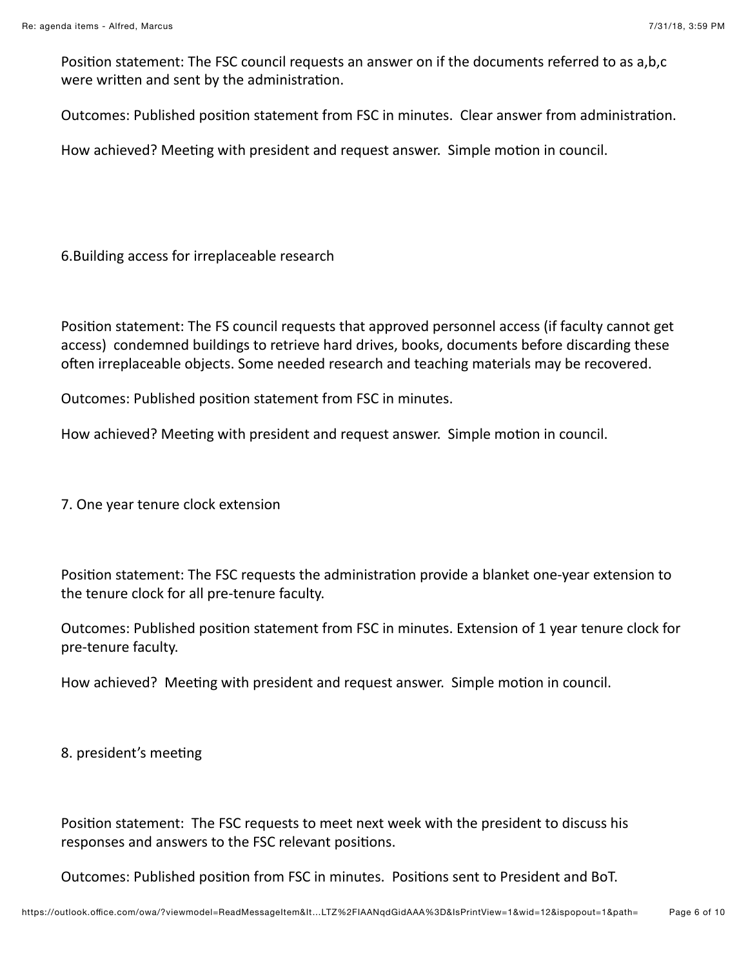Position statement: The FSC council requests an answer on if the documents referred to as a,b,c were written and sent by the administration.

Outcomes: Published position statement from FSC in minutes. Clear answer from administration.

How achieved? Meeting with president and request answer. Simple motion in council.

6. Building access for irreplaceable research

Position statement: The FS council requests that approved personnel access (if faculty cannot get access) condemned buildings to retrieve hard drives, books, documents before discarding these often irreplaceable objects. Some needed research and teaching materials may be recovered.

Outcomes: Published position statement from FSC in minutes.

How achieved? Meeting with president and request answer. Simple motion in council.

7. One year tenure clock extension

Position statement: The FSC requests the administration provide a blanket one-year extension to the tenure clock for all pre-tenure faculty.

Outcomes: Published position statement from FSC in minutes. Extension of 1 year tenure clock for pre-tenure faculty.

How achieved? Meeting with president and request answer. Simple motion in council.

8. president's meeting

Position statement: The FSC requests to meet next week with the president to discuss his responses and answers to the FSC relevant positions.

Outcomes: Published position from FSC in minutes. Positions sent to President and BoT.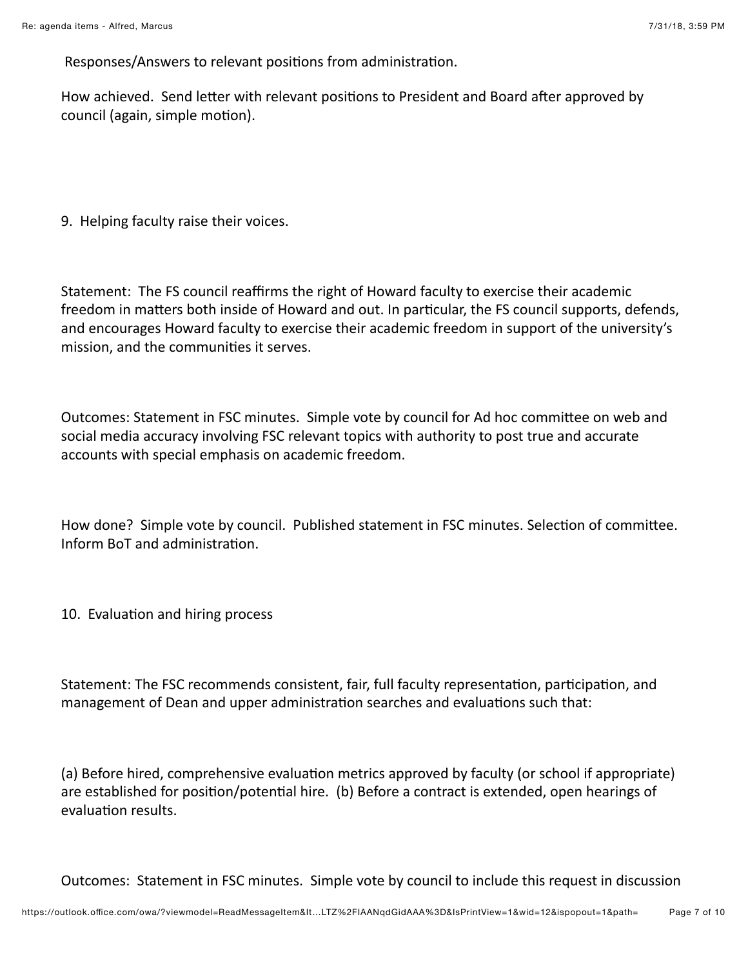Responses/Answers to relevant positions from administration.

How achieved. Send letter with relevant positions to President and Board after approved by council (again, simple motion).

9. Helping faculty raise their voices.

Statement: The FS council reaffirms the right of Howard faculty to exercise their academic freedom in matters both inside of Howard and out. In particular, the FS council supports, defends, and encourages Howard faculty to exercise their academic freedom in support of the university's mission, and the communities it serves.

Outcomes: Statement in FSC minutes. Simple vote by council for Ad hoc committee on web and social media accuracy involving FSC relevant topics with authority to post true and accurate accounts with special emphasis on academic freedom.

How done? Simple vote by council. Published statement in FSC minutes. Selection of committee. Inform BoT and administration.

10. Evaluation and hiring process

Statement: The FSC recommends consistent, fair, full faculty representation, participation, and management of Dean and upper administration searches and evaluations such that:

(a) Before hired, comprehensive evaluation metrics approved by faculty (or school if appropriate) are established for position/potential hire. (b) Before a contract is extended, open hearings of evaluation results.

Outcomes: Statement in FSC minutes. Simple vote by council to include this request in discussion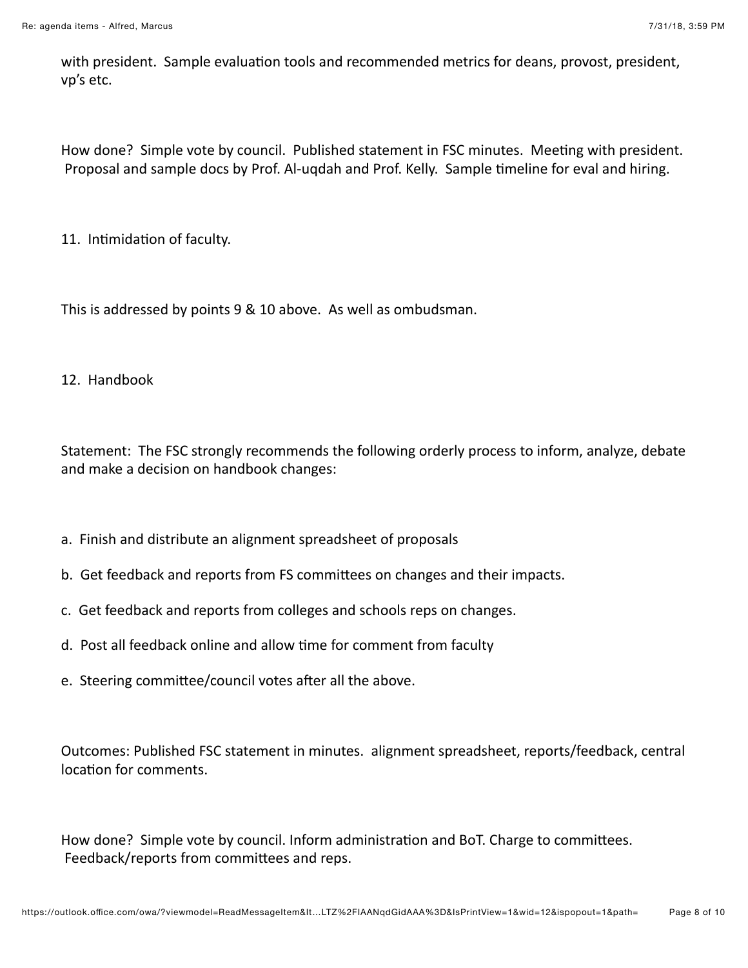with president. Sample evaluation tools and recommended metrics for deans, provost, president, vp's etc.

How done? Simple vote by council. Published statement in FSC minutes. Meeting with president. Proposal and sample docs by Prof. Al-ugdah and Prof. Kelly. Sample timeline for eval and hiring.

11. Intimidation of faculty.

This is addressed by points 9 & 10 above. As well as ombudsman.

12. Handbook

Statement: The FSC strongly recommends the following orderly process to inform, analyze, debate and make a decision on handbook changes:

- a. Finish and distribute an alignment spreadsheet of proposals
- b. Get feedback and reports from FS committees on changes and their impacts.
- c. Get feedback and reports from colleges and schools reps on changes.
- d. Post all feedback online and allow time for comment from faculty
- e. Steering committee/council votes after all the above.

Outcomes: Published FSC statement in minutes. alignment spreadsheet, reports/feedback, central location for comments.

How done? Simple vote by council. Inform administration and BoT. Charge to committees. Feedback/reports from committees and reps.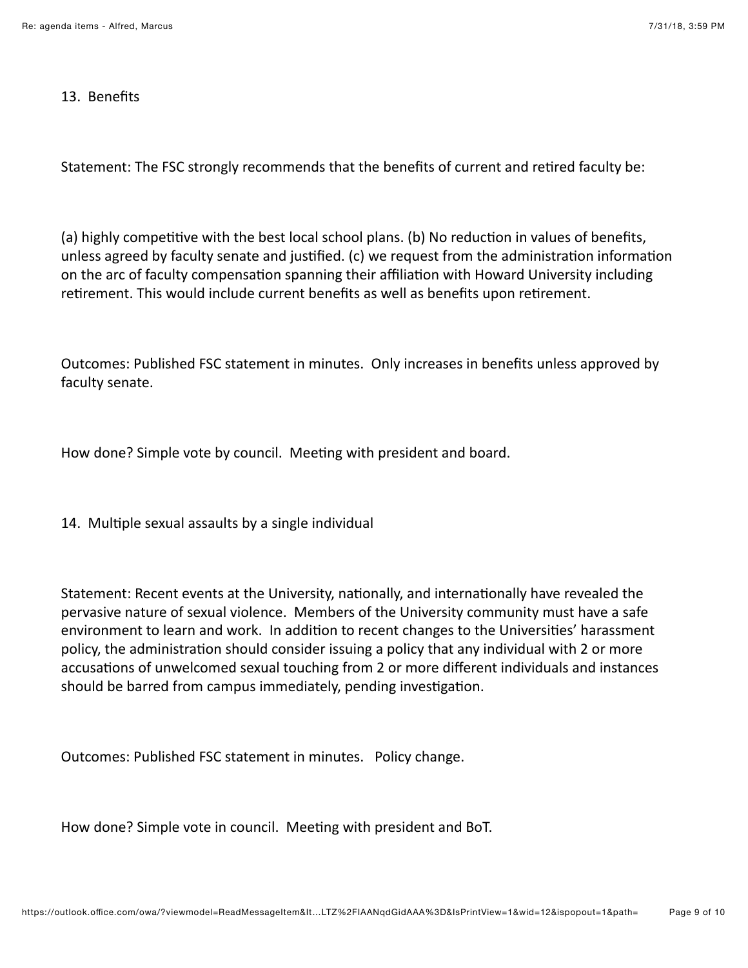## 13. Benefits

Statement: The FSC strongly recommends that the benefits of current and retired faculty be:

(a) highly competitive with the best local school plans. (b) No reduction in values of benefits, unless agreed by faculty senate and justified. (c) we request from the administration information on the arc of faculty compensation spanning their affiliation with Howard University including retirement. This would include current benefits as well as benefits upon retirement.

Outcomes: Published FSC statement in minutes. Only increases in benefits unless approved by faculty senate.

How done? Simple vote by council. Meeting with president and board.

14. Multiple sexual assaults by a single individual

Statement: Recent events at the University, nationally, and internationally have revealed the pervasive nature of sexual violence. Members of the University community must have a safe environment to learn and work. In addition to recent changes to the Universities' harassment policy, the administration should consider issuing a policy that any individual with 2 or more accusations of unwelcomed sexual touching from 2 or more different individuals and instances should be barred from campus immediately, pending investigation.

Outcomes: Published FSC statement in minutes. Policy change.

How done? Simple vote in council. Meeting with president and BoT.